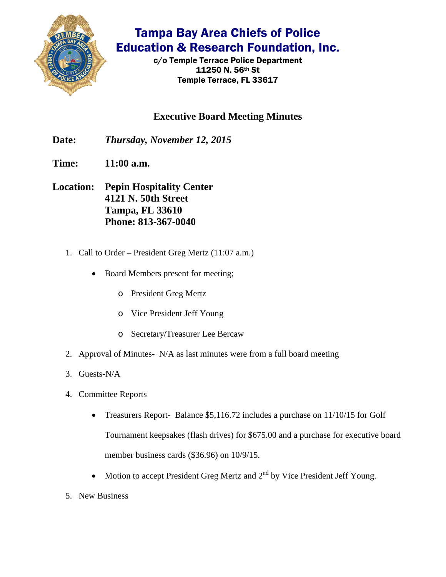

## Tampa Bay Area Chiefs of Police Education & Research Foundation, Inc.

c/o Temple Terrace Police Department 11250 N. 56th St Temple Terrace, FL 33617

## **Executive Board Meeting Minutes**

- **Date:** *Thursday, November 12, 2015*
- **Time: 11:00 a.m.**
- **Location: Pepin Hospitality Center 4121 N. 50th Street Tampa, FL 33610 Phone: 813-367-0040**
	- 1. Call to Order President Greg Mertz (11:07 a.m.)
		- Board Members present for meeting;
			- o President Greg Mertz
			- o Vice President Jeff Young
			- o Secretary/Treasurer Lee Bercaw
	- 2. Approval of Minutes- N/A as last minutes were from a full board meeting
	- 3. Guests-N/A
	- 4. Committee Reports
		- Treasurers Report- Balance \$5,116.72 includes a purchase on 11/10/15 for Golf Tournament keepsakes (flash drives) for \$675.00 and a purchase for executive board member business cards (\$36.96) on 10/9/15.
		- Motion to accept President Greg Mertz and  $2<sup>nd</sup>$  by Vice President Jeff Young.
	- 5. New Business